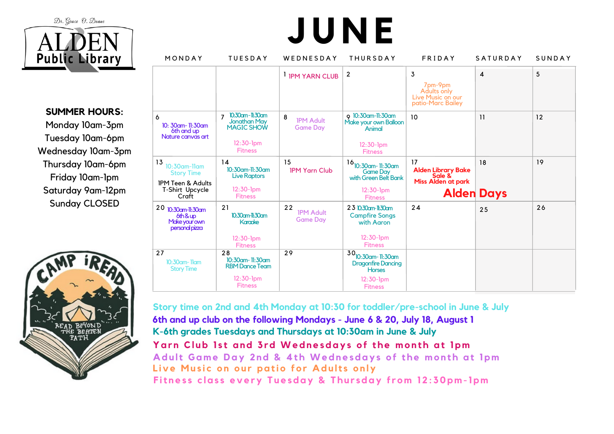Dr. Grace O. Doane



**SUMMER HOURS:**

Monday 10am-3pm Tuesday 10am-6pm Wednesday 10am-3pm Thursday 10am-6pm Friday 10am-1pm Saturday 9am-12pm Sunday CLOSED



| MONDAY                                                                                                 | <b>TUESDAY</b>                                                                      | WEDNESDAY                                 | <b>THURSDAY</b>                                                                                                 | <b>FRIDAY</b>                                                                        | <b>SATURDAY</b> | SUNDAY |
|--------------------------------------------------------------------------------------------------------|-------------------------------------------------------------------------------------|-------------------------------------------|-----------------------------------------------------------------------------------------------------------------|--------------------------------------------------------------------------------------|-----------------|--------|
|                                                                                                        |                                                                                     | <b>I IPM YARN CLUB</b>                    | $\overline{2}$                                                                                                  | 3<br>7pm-9pm<br>Adults only<br>Live Music on our<br>patio-Marc Bailey                | 4               | 5      |
| 6<br>10: 30am- 11:30am<br>6th and up<br>Nature canvas art                                              | 10:30cm-11:30cm<br>7<br>Jonathan May<br>MAGIC SHOW<br>$12:30-1pm$<br><b>Fitness</b> | 8<br><b>IPM Adult</b><br><b>Game Day</b>  | 9 10:30am-11:30am<br>Make your own Balloon<br>Animal<br>$12:30-1pm$<br><b>Fitness</b>                           | 10                                                                                   | 11              | 12     |
| 13<br>$10:30$ am-Ilam<br><b>Story Time</b><br><b>IPM Teen &amp; Adults</b><br>T-Shirt Upcycle<br>Craft | 14<br>$10:30$ am-11:30am<br><b>Live Raptors</b><br>$12:30-1pm$<br><b>Fitness</b>    | 15<br><b>IPM Yarn Club</b>                | $16$ <sub>10:30am</sub> -11:30am<br><b>Game Day</b><br>with Green Belt Bank<br>$12:30-1pm$<br><b>Fitness</b>    | 17<br>Alden Library Bake<br>Sale &<br><b>Miss Alden at park</b><br><b>Alden Days</b> | 18              | 19     |
| 20 10:30am-11:30am<br>$6th$ &up<br>Make your own<br>personal pizza                                     | 21<br>10:30cm-11:30cm<br><b>Karacke</b><br>$12:30-1$ pm<br><b>Fitness</b>           | 22<br><b>IPM Adult</b><br><b>Game Day</b> | 23 10:30cm-11:30cm<br><b>Campfire Songs</b><br>with Aaron<br>$12:30-1pm$<br><b>Fitness</b>                      | 24                                                                                   | 25              | 26     |
| 27<br>$10:30$ am- $11$ am<br><b>Story Time</b>                                                         | 28<br>10:30am-11:30am<br><b>RBM Dance Team</b><br>$12:30-1pm$<br><b>Fitness</b>     | 29                                        | $30$ <sub>10:30am</sub> -11:30am<br><b>Dragonfire Dancing</b><br><b>Horses</b><br>$12:30-1pm$<br><b>Fitness</b> |                                                                                      |                 |        |

**J U N E**

**Story time on 2nd and 4th Monday at 10:30 for toddler/pre-school in June & July 6th and up club on the following Mondays - June 6 & 20, July 18, August 1 K-6th grades Tuesdays and Thursdays at 10:30am in June & July** Yarn Club 1st and 3rd Wednesdays of the month at 1pm Adult Game Day 2nd & 4th Wednesdays of the month at 1pm Live Music on our patio for Adults only Fitness class every Tuesday & Thursday from 12:30pm-1pm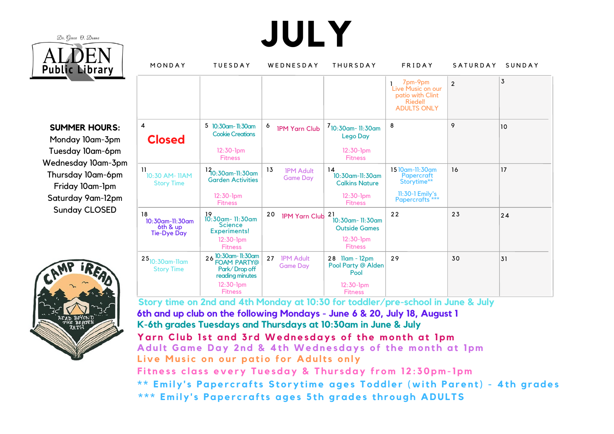

**JULY**

**SUMMER HOURS:** Monday 10am-3pm Tuesday 10am-6pm Wednesday 10am-3pm Thursday 10am-6pm Friday 10am-1pm Saturday 9am-12pm Sunday CLOSED



| MONDAY                                                  | <b>TUESDAY</b>                                                                                         | WEDNESDAY                                 | <b>THURSDAY</b>                                                                     | FRIDAY                                                                                      | <b>SATURDAY</b> | SUNDAY |
|---------------------------------------------------------|--------------------------------------------------------------------------------------------------------|-------------------------------------------|-------------------------------------------------------------------------------------|---------------------------------------------------------------------------------------------|-----------------|--------|
|                                                         |                                                                                                        |                                           |                                                                                     | 7pm-9pm<br>Live Music on our<br>patio with Clint<br>Riedel!<br><b>ADULTS ONLY</b>           | $\overline{2}$  | 3      |
| 4<br><b>Closed</b>                                      | 5 10:30am-11:30am<br><b>Cookie Creations</b><br>$12:30-1pm$<br><b>Fitness</b>                          | 6<br><b>IPM Yarn Club</b>                 | $7_{10:30$ am- 11:30am<br><b>Lego Day</b><br>$12:30-1pm$<br><b>Fitness</b>          | 8                                                                                           | 9               | 10     |
| 11<br>10:30 AM-11AM<br><b>Story Time</b>                | 12 <sub>10:30am-11:30am</sub><br><b>Garden Activities</b><br>$12:30-1pm$<br><b>Fitness</b>             | 13<br><b>IPM Adult</b><br><b>Game Day</b> | 14<br>$10:30$ am-11:30am<br><b>Calkins Nature</b><br>$12:30-1pm$<br><b>Fitness</b>  | 15 10 am-11:30 am<br><b>Papercraft</b><br>Storytime**<br>11:30-1 Emily's<br>Papercrafts *** | 16              | 17     |
| 18<br>10:30am-11:30am<br>6th & up<br><b>Tie-Dye Day</b> | 19<br>10:30am- 11:30am<br><b>Science</b><br><b>Experiments!</b><br>$12:30-1pm$<br><b>Fitness</b>       | 20<br><b>IPM Yarn Club</b>                | -21<br>$10:30$ am- 11:30am<br><b>Outside Games</b><br>$12:30-1pm$<br><b>Fitness</b> | 22                                                                                          | 23              | 24     |
| $25$ <sub>10:30am-11am</sub><br><b>Story Time</b>       | 26 10:30am-11:30am<br>FOAM PARTY@<br>Park/Drop off<br>reading minutes<br>$12:30-1pm$<br><b>Fitness</b> | 27<br><b>IPM Adult</b><br><b>Game Day</b> | 28 Ilam - 12pm<br>Pool Party @ Alden<br>Pool<br>$12:30-1pm$<br><b>Fitness</b>       | 29                                                                                          | 30              | 31     |

**Story time on 2nd and 4th Monday at 10:30 for toddler/pre-school in June & July 6th and up club on the following Mondays - June 6 & 20, July 18, August 1 K-6th grades Tuesdays and Thursdays at 10:30am in June & July** Yarn Club 1st and 3rd Wednesdays of the month at 1pm Adult Game Day 2nd & 4th Wednesdays of the month at 1pm Live Music on our patio for Adults only Fitness class every Tuesday & Thursday from 12:30pm-1pm \*\* Emily's Papercrafts Storytime ages Toddler (with Parent) - 4th grades \*\*\* Emily's Papercrafts ages 5th arades through ADULTS